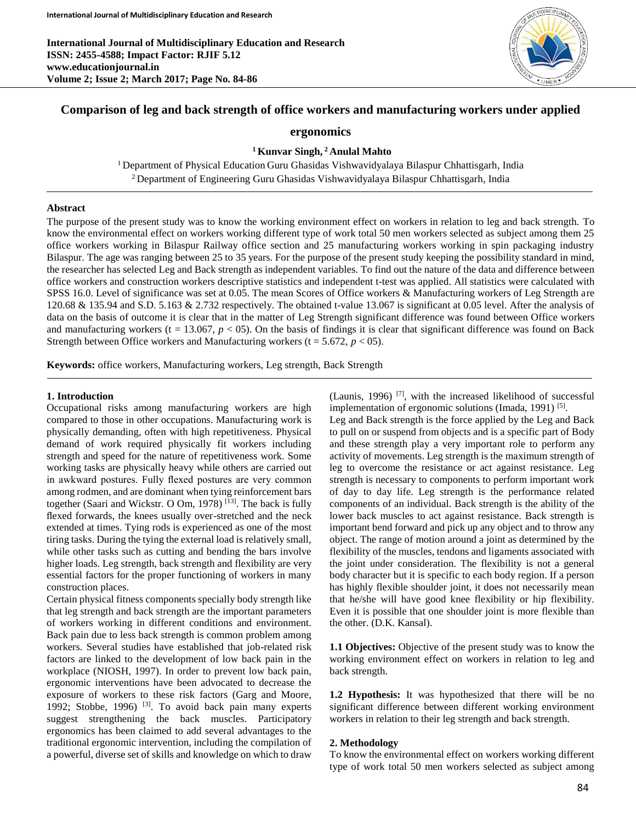

# **Comparison of leg and back strength of office workers and manufacturing workers under applied**

### **ergonomics**

**<sup>1</sup> Kunvar Singh, <sup>2</sup> Anulal Mahto** 

<sup>1</sup> Department of Physical Education Guru Ghasidas Vishwavidyalaya Bilaspur Chhattisgarh, India <sup>2</sup> Department of Engineering Guru Ghasidas Vishwavidyalaya Bilaspur Chhattisgarh, India

#### **Abstract**

The purpose of the present study was to know the working environment effect on workers in relation to leg and back strength. To know the environmental effect on workers working different type of work total 50 men workers selected as subject among them 25 office workers working in Bilaspur Railway office section and 25 manufacturing workers working in spin packaging industry Bilaspur. The age was ranging between 25 to 35 years. For the purpose of the present study keeping the possibility standard in mind, the researcher has selected Leg and Back strength as independent variables. To find out the nature of the data and difference between office workers and construction workers descriptive statistics and independent t-test was applied. All statistics were calculated with SPSS 16.0. Level of significance was set at 0.05. The mean Scores of Office workers & Manufacturing workers of Leg Strength are 120.68 & 135.94 and S.D. 5.163 & 2.732 respectively. The obtained t-value 13.067 is significant at 0.05 level. After the analysis of data on the basis of outcome it is clear that in the matter of Leg Strength significant difference was found between Office workers and manufacturing workers (t = 13.067,  $p < 0.05$ ). On the basis of findings it is clear that significant difference was found on Back Strength between Office workers and Manufacturing workers ( $t = 5.672$ ,  $p < 05$ ).

**Keywords:** office workers, Manufacturing workers, Leg strength, Back Strength

#### **1. Introduction**

Occupational risks among manufacturing workers are high compared to those in other occupations. Manufacturing work is physically demanding, often with high repetitiveness. Physical demand of work required physically fit workers including strength and speed for the nature of repetitiveness work. Some working tasks are physically heavy while others are carried out in awkward postures. Fully flexed postures are very common among rodmen, and are dominant when tying reinforcement bars together (Saari and Wickstr. O Om, 1978)  $^{[13]}$ . The back is fully flexed forwards, the knees usually over-stretched and the neck extended at times. Tying rods is experienced as one of the most tiring tasks. During the tying the external load is relatively small, while other tasks such as cutting and bending the bars involve higher loads. Leg strength, back strength and flexibility are very essential factors for the proper functioning of workers in many construction places.

Certain physical fitness components specially body strength like that leg strength and back strength are the important parameters of workers working in different conditions and environment. Back pain due to less back strength is common problem among workers. Several studies have established that job-related risk factors are linked to the development of low back pain in the workplace (NIOSH, 1997). In order to prevent low back pain, ergonomic interventions have been advocated to decrease the exposure of workers to these risk factors (Garg and Moore, 1992; Stobbe, 1996)  $^{[3]}$ . To avoid back pain many experts suggest strengthening the back muscles. Participatory ergonomics has been claimed to add several advantages to the traditional ergonomic intervention, including the compilation of a powerful, diverse set of skills and knowledge on which to draw

(Launis, 1996) [7], with the increased likelihood of successful implementation of ergonomic solutions (Imada, 1991)<sup>[5]</sup>.

Leg and Back strength is the force applied by the Leg and Back to pull on or suspend from objects and is a specific part of Body and these strength play a very important role to perform any activity of movements. Leg strength is the maximum strength of leg to overcome the resistance or act against resistance. Leg strength is necessary to components to perform important work of day to day life. Leg strength is the performance related components of an individual. Back strength is the ability of the lower back muscles to act against resistance. Back strength is important bend forward and pick up any object and to throw any object. The range of motion around a joint as determined by the flexibility of the muscles, tendons and ligaments associated with the joint under consideration. The flexibility is not a general body character but it is specific to each body region. If a person has highly flexible shoulder joint, it does not necessarily mean that he/she will have good knee flexibility or hip flexibility. Even it is possible that one shoulder joint is more flexible than the other. (D.K. Kansal).

**1.1 Objectives:** Objective of the present study was to know the working environment effect on workers in relation to leg and back strength.

**1.2 Hypothesis:** It was hypothesized that there will be no significant difference between different working environment workers in relation to their leg strength and back strength.

#### **2. Methodology**

To know the environmental effect on workers working different type of work total 50 men workers selected as subject among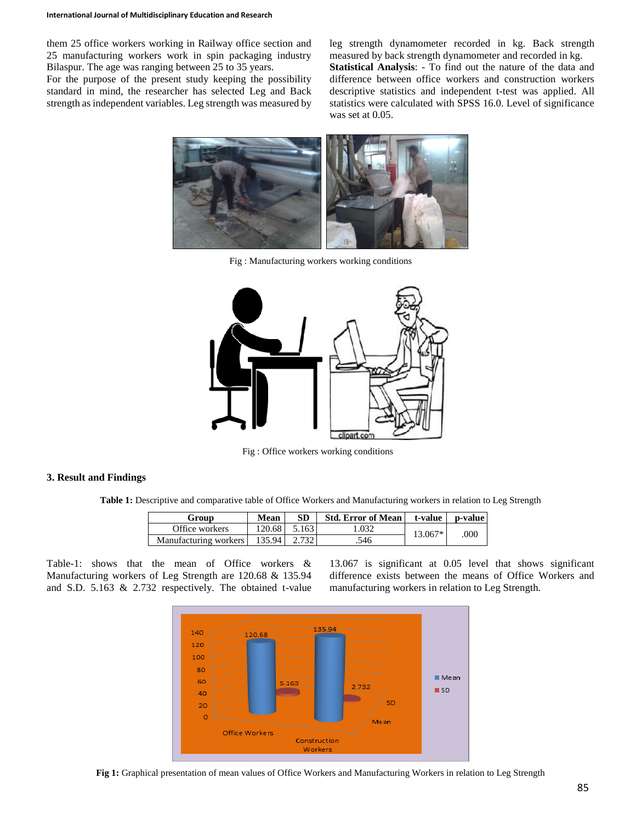them 25 office workers working in Railway office section and 25 manufacturing workers work in spin packaging industry Bilaspur. The age was ranging between 25 to 35 years.

For the purpose of the present study keeping the possibility standard in mind, the researcher has selected Leg and Back strength as independent variables. Leg strength was measured by

leg strength dynamometer recorded in kg. Back strength measured by back strength dynamometer and recorded in kg. **Statistical Analysis**: - To find out the nature of the data and difference between office workers and construction workers descriptive statistics and independent t-test was applied. All statistics were calculated with SPSS 16.0. Level of significance was set at 0.05.



Fig : Manufacturing workers working conditions



Fig : Office workers working conditions

#### **3. Result and Findings**

**Table 1:** Descriptive and comparative table of Office Workers and Manufacturing workers in relation to Leg Strength

| Group                 | Mean    | SD    | <b>Std. Error of Mean</b> | t-value | p-value |
|-----------------------|---------|-------|---------------------------|---------|---------|
| Office workers        | 120.68  | 5.163 | 1.032                     | 13.067* | 000     |
| Manufacturing workers | 135.941 | 2.732 | .546                      |         |         |

Table-1: shows that the mean of Office workers & Manufacturing workers of Leg Strength are 120.68 & 135.94 and S.D. 5.163 & 2.732 respectively. The obtained t-value

13.067 is significant at 0.05 level that shows significant difference exists between the means of Office Workers and manufacturing workers in relation to Leg Strength.



**Fig 1:** Graphical presentation of mean values of Office Workers and Manufacturing Workers in relation to Leg Strength